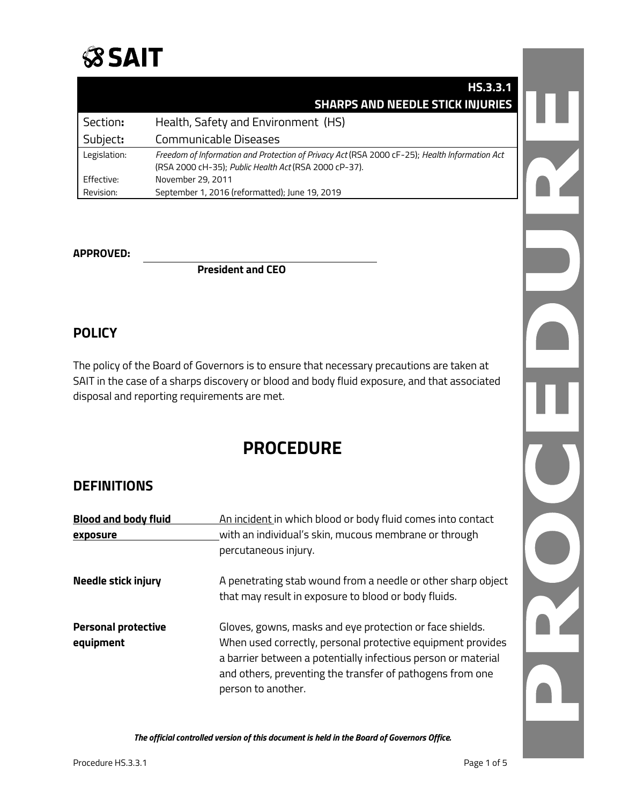

|              | HS.3.3.1                                                                                      |  |
|--------------|-----------------------------------------------------------------------------------------------|--|
|              | <b>SHARPS AND NEEDLE STICK INJURIES</b>                                                       |  |
| Section:     | Health, Safety and Environment (HS)                                                           |  |
| Subject:     | Communicable Diseases                                                                         |  |
| Legislation: | Freedom of Information and Protection of Privacy Act (RSA 2000 cF-25); Health Information Act |  |
|              | (RSA 2000 cH-35); Public Health Act (RSA 2000 cP-37).                                         |  |
| Effective:   | November 29, 2011                                                                             |  |
| Revision:    | September 1, 2016 (reformatted); June 19, 2019                                                |  |

#### **APPROVED:**

**President and CEO**

## **POLICY**

The policy of the Board of Governors is to ensure that necessary precautions are taken at SAIT in the case of a sharps discovery or blood and body fluid exposure, and that associated disposal and reporting requirements are met.

# **PROCEDURE**

### **DEFINITIONS**

| <b>Blood and body fluid</b><br>exposure | An incident in which blood or body fluid comes into contact<br>with an individual's skin, mucous membrane or through<br>percutaneous injury.                                                                                                                                |
|-----------------------------------------|-----------------------------------------------------------------------------------------------------------------------------------------------------------------------------------------------------------------------------------------------------------------------------|
| Needle stick injury                     | A penetrating stab wound from a needle or other sharp object<br>that may result in exposure to blood or body fluids.                                                                                                                                                        |
| <b>Personal protective</b><br>equipment | Gloves, gowns, masks and eye protection or face shields.<br>When used correctly, personal protective equipment provides<br>a barrier between a potentially infectious person or material<br>and others, preventing the transfer of pathogens from one<br>person to another. |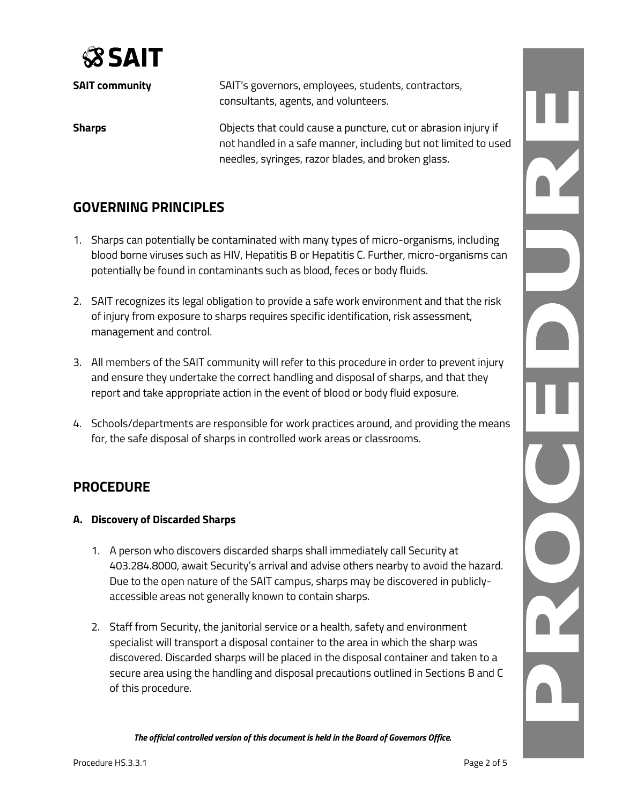

| <b>SAIT community</b> | SAIT's governors, employees, students, contractors,<br>consultants, agents, and volunteers.                                       |
|-----------------------|-----------------------------------------------------------------------------------------------------------------------------------|
| <b>Sharps</b>         | Objects that could cause a puncture, cut or abrasion injury if<br>not handled in a safe manner, including but not limited to used |
|                       | needles, syringes, razor blades, and broken glass.                                                                                |

# **GOVERNING PRINCIPLES**

- 1. Sharps can potentially be contaminated with many types of micro-organisms, including blood borne viruses such as HIV, Hepatitis B or Hepatitis C. Further, micro-organisms can potentially be found in contaminants such as blood, feces or body fluids.
- 2. SAIT recognizes its legal obligation to provide a safe work environment and that the risk of injury from exposure to sharps requires specific identification, risk assessment, management and control.
- 3. All members of the SAIT community will refer to this procedure in order to prevent injury and ensure they undertake the correct handling and disposal of sharps, and that they report and take appropriate action in the event of blood or body fluid exposure.
- 4. Schools/departments are responsible for work practices around, and providing the means for, the safe disposal of sharps in controlled work areas or classrooms.

# **PROCEDURE**

#### **A. Discovery of Discarded Sharps**

- 1. A person who discovers discarded sharps shall immediately call Security at 403.284.8000, await Security's arrival and advise others nearby to avoid the hazard. Due to the open nature of the SAIT campus, sharps may be discovered in publiclyaccessible areas not generally known to contain sharps.
- 2. Staff from Security, the janitorial service or a health, safety and environment specialist will transport a disposal container to the area in which the sharp was discovered. Discarded sharps will be placed in the disposal container and taken to a secure area using the handling and disposal precautions outlined in Sections B and C of this procedure.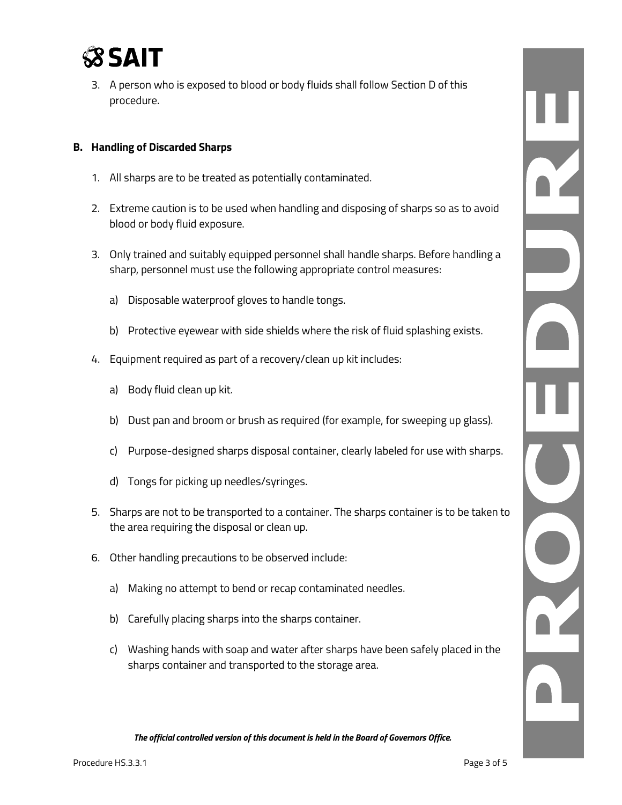

3. A person who is exposed to blood or body fluids shall follow Section D of this procedure.

#### **B. Handling of Discarded Sharps**

- 1. All sharps are to be treated as potentially contaminated.
- 2. Extreme caution is to be used when handling and disposing of sharps so as to avoid blood or body fluid exposure.
- 3. Only trained and suitably equipped personnel shall handle sharps. Before handling a sharp, personnel must use the following appropriate control measures:
	- a) Disposable waterproof gloves to handle tongs.
	- b) Protective eyewear with side shields where the risk of fluid splashing exists.
- 4. Equipment required as part of a recovery/clean up kit includes:
	- a) Body fluid clean up kit.
	- b) Dust pan and broom or brush as required (for example, for sweeping up glass).
	- c) Purpose-designed sharps disposal container, clearly labeled for use with sharps.
	- d) Tongs for picking up needles/syringes.
- 5. Sharps are not to be transported to a container. The sharps container is to be taken to the area requiring the disposal or clean up.
- 6. Other handling precautions to be observed include:
	- a) Making no attempt to bend or recap contaminated needles.
	- b) Carefully placing sharps into the sharps container.
	- c) Washing hands with soap and water after sharps have been safely placed in the sharps container and transported to the storage area.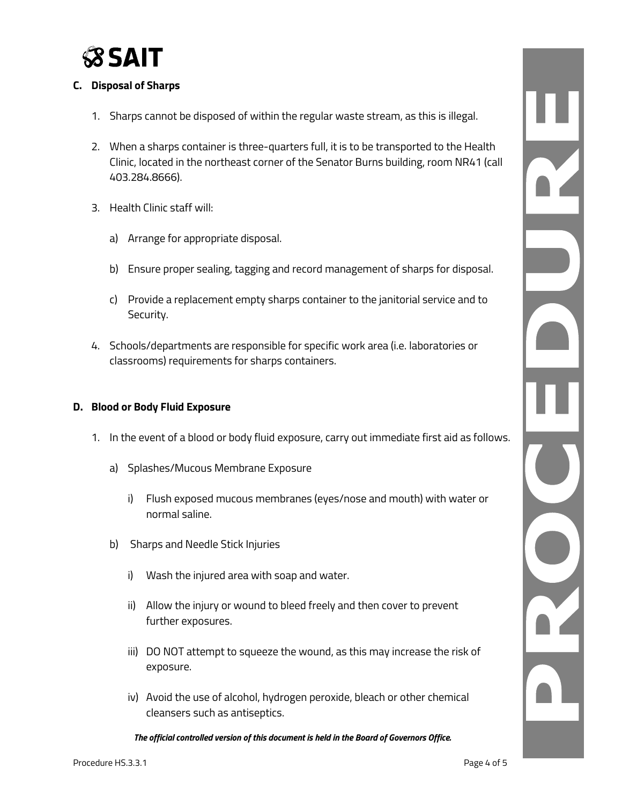

#### **C. Disposal of Sharps**

- 1. Sharps cannot be disposed of within the regular waste stream, as this is illegal.
- 2. When a sharps container is three-quarters full, it is to be transported to the Health Clinic, located in the northeast corner of the Senator Burns building, room NR41 (call 403.284.8666).
- 3. Health Clinic staff will:
	- a) Arrange for appropriate disposal.
	- b) Ensure proper sealing, tagging and record management of sharps for disposal.
	- c) Provide a replacement empty sharps container to the janitorial service and to Security.
- 4. Schools/departments are responsible for specific work area (i.e. laboratories or classrooms) requirements for sharps containers.

#### **D. Blood or Body Fluid Exposure**

- 1. In the event of a blood or body fluid exposure, carry out immediate first aid as follows.
	- a) Splashes/Mucous Membrane Exposure
		- i) Flush exposed mucous membranes (eyes/nose and mouth) with water or normal saline.
	- b) Sharps and Needle Stick Injuries
		- i) Wash the injured area with soap and water.
		- ii) Allow the injury or wound to bleed freely and then cover to prevent further exposures.
		- iii) DO NOT attempt to squeeze the wound, as this may increase the risk of exposure.
		- iv) Avoid the use of alcohol, hydrogen peroxide, bleach or other chemical cleansers such as antiseptics.

*The official controlled version of this document is held in the Board of Governors Office.*

 $\frac{1}{\sqrt{2}}$